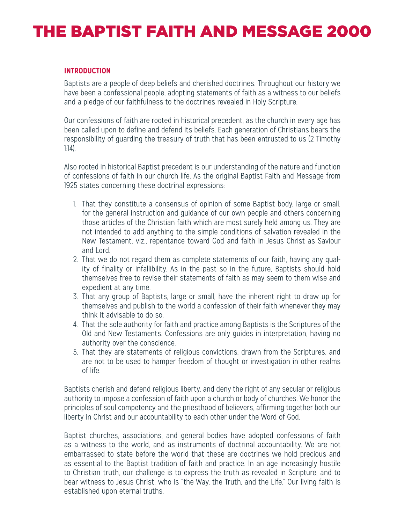# THE BAPTIST FAITH AND MESSAGE 2000

## **INTRODUCTION**

Baptists are a people of deep beliefs and cherished doctrines. Throughout our history we have been a confessional people, adopting statements of faith as a witness to our beliefs and a pledge of our faithfulness to the doctrines revealed in Holy Scripture.

Our confessions of faith are rooted in historical precedent, as the church in every age has been called upon to define and defend its beliefs. Each generation of Christians bears the responsibility of guarding the treasury of truth that has been entrusted to us (2 Timothy  $1:14$ ).

Also rooted in historical Baptist precedent is our understanding of the nature and function of confessions of faith in our church life. As the original Baptist Faith and Message from 1925 states concerning these doctrinal expressions:

- 1. That they constitute a consensus of opinion of some Baptist body, large or small, for the general instruction and guidance of our own people and others concerning those articles of the Christian faith which are most surely held among us. They are not intended to add anything to the simple conditions of salvation revealed in the New Testament, viz., repentance toward God and faith in Jesus Christ as Saviour and Lord.
- 2. That we do not regard them as complete statements of our faith, having any quality of finality or infallibility. As in the past so in the future, Baptists should hold themselves free to revise their statements of faith as may seem to them wise and expedient at any time.
- 3. That any group of Baptists, large or small, have the inherent right to draw up for themselves and publish to the world a confession of their faith whenever they may think it advisable to do so.
- 4. That the sole authority for faith and practice among Baptists is the Scriptures of the Old and New Testaments. Confessions are only guides in interpretation, having no authority over the conscience.
- 5. That they are statements of religious convictions, drawn from the Scriptures, and are not to be used to hamper freedom of thought or investigation in other realms of life.

Baptists cherish and defend religious liberty, and deny the right of any secular or religious authority to impose a confession of faith upon a church or body of churches. We honor the principles of soul competency and the priesthood of believers, affirming together both our liberty in Christ and our accountability to each other under the Word of God.

Baptist churches, associations, and general bodies have adopted confessions of faith as a witness to the world, and as instruments of doctrinal accountability. We are not embarrassed to state before the world that these are doctrines we hold precious and as essential to the Baptist tradition of faith and practice. In an age increasingly hostile to Christian truth, our challenge is to express the truth as revealed in Scripture, and to bear witness to Jesus Christ, who is "the Way, the Truth, and the Life." Our living faith is established upon eternal truths.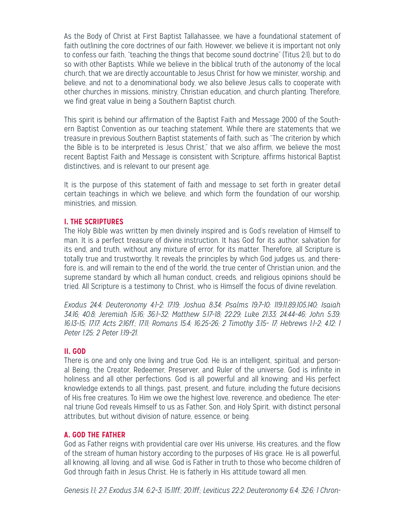As the Body of Christ at First Baptist Tallahassee, we have a foundational statement of faith outlining the core doctrines of our faith. However, we believe it is important not only to confess our faith, "teaching the things that become sound doctrine" (Titus 2:1), but to do so with other Baptists. While we believe in the biblical truth of the autonomy of the local church, that we are directly accountable to Jesus Christ for how we minister, worship, and believe, and not to a denominational body, we also believe Jesus calls to cooperate with other churches in missions, ministry, Christian education, and church planting. Therefore, we find great value in being a Southern Baptist church.

This spirit is behind our affirmation of the Baptist Faith and Message 2000 of the Southern Baptist Convention as our teaching statement. While there are statements that we treasure in previous Southern Baptist statements of faith, such as "The criterion by which the Bible is to be interpreted is Jesus Christ," that we also affirm, we believe the most recent Baptist Faith and Message is consistent with Scripture, affirms historical Baptist distinctives, and is relevant to our present age.

It is the purpose of this statement of faith and message to set forth in greater detail certain teachings in which we believe, and which form the foundation of our worship, ministries, and mission.

## **I. THE SCRIPTURES**

The Holy Bible was written by men divinely inspired and is God's revelation of Himself to man. It is a perfect treasure of divine instruction. It has God for its author, salvation for its end, and truth, without any mixture of error, for its matter. Therefore, all Scripture is totally true and trustworthy. It reveals the principles by which God judges us, and therefore is, and will remain to the end of the world, the true center of Christian union, and the supreme standard by which all human conduct, creeds, and religious opinions should be tried. All Scripture is a testimony to Christ, who is Himself the focus of divine revelation.

*Exodus 24:4; Deuteronomy 4:1–2; 17:19; Joshua 8:34; Psalms 19:7–10; 119:11,89,105,140; Isaiah 34:16; 40:8; Jeremiah 15:16; 36:1–32; Matthew 5:17–18; 22:29; Luke 21:33; 24:44–46; John 5:39; 16:13–15; 17:17; Acts 2:16ff.; 17:11; Romans 15:4; 16:25–26; 2 Timothy 3:15– 17; Hebrews 1:1–2; 4:12; 1 Peter 1:25; 2 Peter 1:19–21.* 

#### **II. GOD**

There is one and only one living and true God. He is an intelligent, spiritual, and personal Being, the Creator, Redeemer, Preserver, and Ruler of the universe. God is infinite in holiness and all other perfections. God is all powerful and all knowing; and His perfect knowledge extends to all things, past, present, and future, including the future decisions of His free creatures. To Him we owe the highest love, reverence, and obedience. The eternal triune God reveals Himself to us as Father, Son, and Holy Spirit, with distinct personal attributes, but without division of nature, essence, or being.

## **A. GOD THE FATHER**

God as Father reigns with providential care over His universe, His creatures, and the flow of the stream of human history according to the purposes of His grace. He is all powerful, all knowing, all loving, and all wise. God is Father in truth to those who become children of God through faith in Jesus Christ. He is fatherly in His attitude toward all men.

*Genesis 1:1; 2:7; Exodus 3:14; 6:2–3; 15:11ff.; 20:1ff.; Leviticus 22:2; Deuteronomy 6:4; 32:6; 1 Chron-*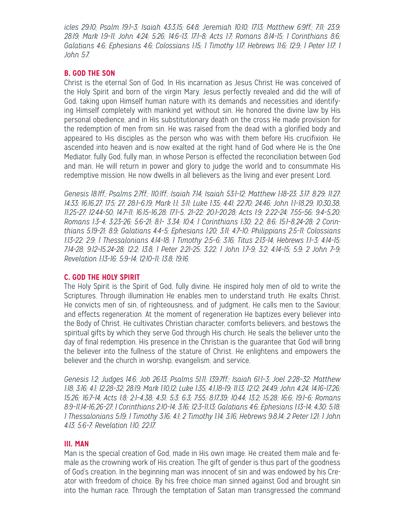*icles 29:10; Psalm 19:1–3; Isaiah 43:3,15; 64:8; Jeremiah 10:10; 17:13; Matthew 6:9ff.; 7:11; 23:9; 28:19; Mark 1:9–11; John 4:24; 5:26; 14:6–13; 17:1–8; Acts 1:7; Romans 8:14–15; 1 Corinthians 8:6; Galatians 4:6; Ephesians 4:6; Colossians 1:15; 1 Timothy 1:17; Hebrews 11:6; 12:9; 1 Peter 1:17; 1 John 5:7.* 

## **B. GOD THE SON**

Christ is the eternal Son of God. In His incarnation as Jesus Christ He was conceived of the Holy Spirit and born of the virgin Mary. Jesus perfectly revealed and did the will of God, taking upon Himself human nature with its demands and necessities and identifying Himself completely with mankind yet without sin. He honored the divine law by His personal obedience, and in His substitutionary death on the cross He made provision for the redemption of men from sin. He was raised from the dead with a glorified body and appeared to His disciples as the person who was with them before His crucifixion. He ascended into heaven and is now exalted at the right hand of God where He is the One Mediator, fully God, fully man, in whose Person is effected the reconciliation between God and man. He will return in power and glory to judge the world and to consummate His redemptive mission. He now dwells in all believers as the living and ever present Lord.

*Genesis 18:1ff.; Psalms 2:7ff.; 110:1ff.; Isaiah 7:14; Isaiah 53:1–12; Matthew 1:18–23; 3:17; 8:29; 11:27; 14:33; 16:16,27; 17:5; 27; 28:1–6,19; Mark 1:1; 3:11; Luke 1:35; 4:41; 22:70; 24:46; John 1:1–18,29; 10:30,38; 11:25–27; 12:44–50; 14:7–11; 16:15–16,28; 17:1–5, 21–22; 20:1–20,28; Acts 1:9; 2:22–24; 7:55–56; 9:4–5,20; Romans 1:3–4; 3:23–26; 5:6–21; 8:1– 3,34; 10:4; 1 Corinthians 1:30; 2:2; 8:6; 15:1–8,24–28; 2 Corinthians 5:19–21; 8:9; Galatians 4:4–5; Ephesians 1:20; 3:11; 4:7–10; Philippians 2:5–11; Colossians 1:13–22; 2:9; 1 Thessalonians 4:14–18; 1 Timothy 2:5–6; 3:16; Titus 2:13–14; Hebrews 1:1–3; 4:14–15; 7:14–28; 9:12–15,24–28; 12:2; 13:8; 1 Peter 2:21–25; 3:22; 1 John 1:7–9; 3:2; 4:14–15; 5:9; 2 John 7–9; Revelation 1:13–16; 5:9–14; 12:10–11; 13:8; 19:16.* 

#### **C. GOD THE HOLY SPIRIT**

The Holy Spirit is the Spirit of God, fully divine. He inspired holy men of old to write the Scriptures. Through illumination He enables men to understand truth. He exalts Christ. He convicts men of sin, of righteousness, and of judgment. He calls men to the Saviour, and effects regeneration. At the moment of regeneration He baptizes every believer into the Body of Christ. He cultivates Christian character, comforts believers, and bestows the spiritual gifts by which they serve God through His church. He seals the believer unto the day of final redemption. His presence in the Christian is the guarantee that God will bring the believer into the fullness of the stature of Christ. He enlightens and empowers the believer and the church in worship, evangelism, and service.

*Genesis 1:2; Judges 14:6; Job 26:13; Psalms 51:11; 139:7ff.; Isaiah 61:1–3; Joel 2:28–32; Matthew 1:18; 3:16; 4:1; 12:28–32; 28:19; Mark 1:10,12; Luke 1:35; 4:1,18–19; 11:13; 12:12; 24:49; John 4:24; 14:16–17,26; 15:26; 16:7–14; Acts 1:8; 2:1–4,38; 4:31; 5:3; 6:3; 7:55; 8:17,39; 10:44; 13:2; 15:28; 16:6; 19:1–6; Romans 8:9–11,14–16,26–27; 1 Corinthians 2:10–14; 3:16; 12:3–11,13; Galatians 4:6; Ephesians 1:13–14; 4:30; 5:18; 1 Thessalonians 5:19; 1 Timothy 3:16; 4:1; 2 Timothy 1:14; 3:16; Hebrews 9:8,14; 2 Peter 1:21; 1 John 4:13; 5:6–7; Revelation 1:10; 22:17.* 

## **III. MAN**

Man is the special creation of God, made in His own image. He created them male and female as the crowning work of His creation. The gift of gender is thus part of the goodness of God's creation. In the beginning man was innocent of sin and was endowed by his Creator with freedom of choice. By his free choice man sinned against God and brought sin into the human race. Through the temptation of Satan man transgressed the command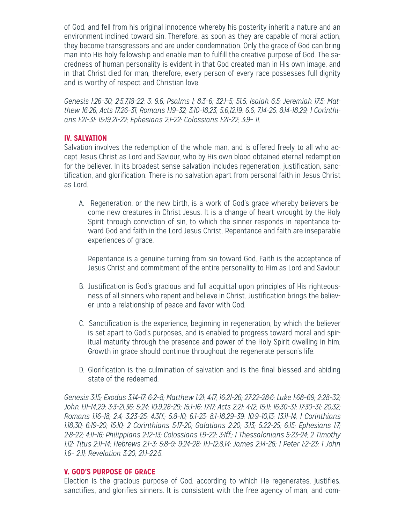of God, and fell from his original innocence whereby his posterity inherit a nature and an environment inclined toward sin. Therefore, as soon as they are capable of moral action, they become transgressors and are under condemnation. Only the grace of God can bring man into His holy fellowship and enable man to fulfill the creative purpose of God. The sacredness of human personality is evident in that God created man in His own image, and in that Christ died for man; therefore, every person of every race possesses full dignity and is worthy of respect and Christian love.

*Genesis 1:26–30; 2:5,7,18–22; 3; 9:6; Psalms 1; 8:3–6; 32:1–5; 51:5; Isaiah 6:5; Jeremiah 17:5; Matthew 16:26; Acts 17:26–31; Romans 1:19–32; 3:10–18,23; 5:6,12,19; 6:6; 7:14–25; 8:14–18,29; 1 Corinthians 1:21–31; 15:19,21–22; Ephesians 2:1–22; Colossians 1:21–22; 3:9– 11.* 

## **IV. SALVATION**

Salvation involves the redemption of the whole man, and is offered freely to all who accept Jesus Christ as Lord and Saviour, who by His own blood obtained eternal redemption for the believer. In its broadest sense salvation includes regeneration, justification, sanctification, and glorification. There is no salvation apart from personal faith in Jesus Christ as Lord.

A. Regeneration, or the new birth, is a work of God's grace whereby believers become new creatures in Christ Jesus. It is a change of heart wrought by the Holy Spirit through conviction of sin, to which the sinner responds in repentance toward God and faith in the Lord Jesus Christ. Repentance and faith are inseparable experiences of grace.

Repentance is a genuine turning from sin toward God. Faith is the acceptance of Jesus Christ and commitment of the entire personality to Him as Lord and Saviour.

- B. Justification is God's gracious and full acquittal upon principles of His righteousness of all sinners who repent and believe in Christ. Justification brings the believer unto a relationship of peace and favor with God.
- C. Sanctification is the experience, beginning in regeneration, by which the believer is set apart to God's purposes, and is enabled to progress toward moral and spiritual maturity through the presence and power of the Holy Spirit dwelling in him. Growth in grace should continue throughout the regenerate person's life.
- D. Glorification is the culmination of salvation and is the final blessed and abiding state of the redeemed.

*Genesis 3:15; Exodus 3:14–17; 6:2–8; Matthew 1:21; 4:17; 16:21–26; 27:22–28:6; Luke 1:68–69; 2:28–32; John 1:11–14,29; 3:3–21,36; 5:24; 10:9,28–29; 15:1–16; 17:17; Acts 2:21; 4:12; 15:11; 16:30–31; 17:30–31; 20:32; Romans 1:16–18; 2:4; 3:23–25; 4:3ff.; 5:8–10; 6:1–23; 8:1–18,29–39; 10:9–10,13; 13:11–14; 1 Corinthians 1:18,30; 6:19–20; 15:10; 2 Corinthians 5:17–20; Galatians 2:20; 3:13; 5:22–25; 6:15; Ephesians 1:7; 2:8–22; 4:11–16; Philippians 2:12–13; Colossians 1:9–22; 3:1ff.; 1 Thessalonians 5:23–24; 2 Timothy 1:12; Titus 2:11–14; Hebrews 2:1–3; 5:8–9; 9:24–28; 11:1–12:8,14; James 2:14–26; 1 Peter 1:2–23; 1 John 1:6– 2:11; Revelation 3:20; 21:1–22:5.* 

#### **V. GOD'S PURPOSE OF GRACE**

Election is the gracious purpose of God, according to which He regenerates, justifies, sanctifies, and glorifies sinners. It is consistent with the free agency of man, and com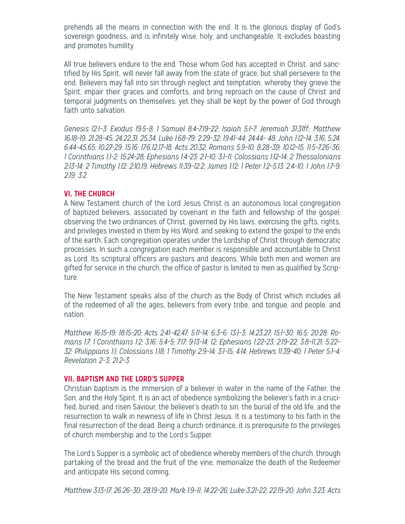prehends all the means in connection with the end. It is the glorious display of God's sovereign goodness, and is infinitely wise, holy, and unchangeable. It excludes boasting and promotes humility.

All true believers endure to the end. Those whom God has accepted in Christ, and sanctified by His Spirit, will never fall away from the state of grace, but shall persevere to the end. Believers may fall into sin through neglect and temptation, whereby they grieve the Spirit, impair their graces and comforts, and bring reproach on the cause of Christ and temporal judgments on themselves; yet they shall be kept by the power of God through faith unto salvation.

*Genesis 12:1–3; Exodus 19:5–8; 1 Samuel 8:4–7,19–22; Isaiah 5:1–7; Jeremiah 31:31ff.; Matthew 16:18–19; 21:28–45; 24:22,31; 25:34; Luke 1:68–79; 2:29–32; 19:41–44; 24:44– 48; John 1:12–14; 3:16; 5:24; 6:44–45,65; 10:27–29; 15:16; 17:6,12,17–18; Acts 20:32; Romans 5:9–10; 8:28–39; 10:12–15; 11:5–7,26–36; 1 Corinthians 1:1–2; 15:24–28; Ephesians 1:4–23; 2:1–10; 3:1–11; Colossians 1:12–14; 2 Thessalonians 2:13–14; 2 Timothy 1:12; 2:10,19; Hebrews 11:39–12:2; James 1:12; 1 Peter 1:2–5,13; 2:4–10; 1 John 1:7–9; 2:19; 3:2.* 

## **VI. THE CHURCH**

A New Testament church of the Lord Jesus Christ is an autonomous local congregation of baptized believers, associated by covenant in the faith and fellowship of the gospel; observing the two ordinances of Christ, governed by His laws, exercising the gifts, rights, and privileges invested in them by His Word, and seeking to extend the gospel to the ends of the earth. Each congregation operates under the Lordship of Christ through democratic processes. In such a congregation each member is responsible and accountable to Christ as Lord. Its scriptural officers are pastors and deacons. While both men and women are gifted for service in the church, the office of pastor is limited to men as qualified by Scripture.

The New Testament speaks also of the church as the Body of Christ which includes all of the redeemed of all the ages, believers from every tribe, and tongue, and people, and nation.

*Matthew 16:15–19; 18:15–20; Acts 2:41–42,47; 5:11–14; 6:3–6; 13:1–3; 14:23,27; 15:1–30; 16:5; 20:28; Romans 1:7; 1 Corinthians 1:2; 3:16; 5:4–5; 7:17; 9:13–14; 12; Ephesians 1:22–23; 2:19–22; 3:8–11,21; 5:22– 32; Philippians 1:1; Colossians 1:18; 1 Timothy 2:9–14; 3:1–15; 4:14; Hebrews 11:39–40; 1 Peter 5:1–4; Revelation 2–3; 21:2–3.* 

#### **VII. BAPTISM AND THE LORD'S SUPPER**

Christian baptism is the immersion of a believer in water in the name of the Father, the Son, and the Holy Spirit. It is an act of obedience symbolizing the believer's faith in a crucified, buried, and risen Saviour, the believer's death to sin, the burial of the old life, and the resurrection to walk in newness of life in Christ Jesus. It is a testimony to his faith in the final resurrection of the dead. Being a church ordinance, it is prerequisite to the privileges of church membership and to the Lord's Supper.

The Lord's Supper is a symbolic act of obedience whereby members of the church, through partaking of the bread and the fruit of the vine, memorialize the death of the Redeemer and anticipate His second coming.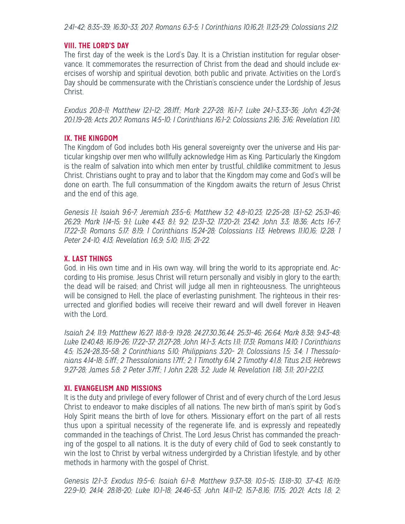*2:41–42; 8:35–39; 16:30–33; 20:7; Romans 6:3–5; 1 Corinthians 10:16,21; 11:23–29; Colossians 2:12.* 

## **VIII. THE LORD'S DAY**

The first day of the week is the Lord's Day. It is a Christian institution for regular observance. It commemorates the resurrection of Christ from the dead and should include exercises of worship and spiritual devotion, both public and private. Activities on the Lord's Day should be commensurate with the Christian's conscience under the Lordship of Jesus Christ.

*Exodus 20:8–11; Matthew 12:1–12; 28:1ff.; Mark 2:27–28; 16:1–7; Luke 24:1–3,33–36; John 4:21–24; 20:1,19–28; Acts 20:7; Romans 14:5–10; I Corinthians 16:1–2; Colossians 2:16; 3:16; Revelation 1:10.* 

## **IX. THE KINGDOM**

The Kingdom of God includes both His general sovereignty over the universe and His particular kingship over men who willfully acknowledge Him as King. Particularly the Kingdom is the realm of salvation into which men enter by trustful, childlike commitment to Jesus Christ. Christians ought to pray and to labor that the Kingdom may come and God's will be done on earth. The full consummation of the Kingdom awaits the return of Jesus Christ and the end of this age.

*Genesis 1:1; Isaiah 9:6–7; Jeremiah 23:5–6; Matthew 3:2; 4:8–10,23; 12:25–28; 13:1–52; 25:31–46; 26:29; Mark 1:14–15; 9:1; Luke 4:43; 8:1; 9:2; 12:31–32; 17:20–21; 23:42; John 3:3; 18:36; Acts 1:6–7; 17:22–31; Romans 5:17; 8:19; 1 Corinthians 15:24–28; Colossians 1:13; Hebrews 11:10,16; 12:28; 1 Peter 2:4–10; 4:13; Revelation 1:6,9; 5:10; 11:15; 21–22.* 

## **X. LAST THINGS**

God, in His own time and in His own way, will bring the world to its appropriate end. According to His promise, Jesus Christ will return personally and visibly in glory to the earth; the dead will be raised; and Christ will judge all men in righteousness. The unrighteous will be consigned to Hell, the place of everlasting punishment. The righteous in their resurrected and glorified bodies will receive their reward and will dwell forever in Heaven with the Lord.

*Isaiah 2:4; 11:9; Matthew 16:27; 18:8–9; 19:28; 24:27,30,36,44; 25:31–46; 26:64; Mark 8:38; 9:43–48; Luke 12:40,48; 16:19–26; 17:22–37; 21:27–28; John 14:1–3; Acts 1:11; 17:31; Romans 14:10; 1 Corinthians 4:5; 15:24–28,35–58; 2 Corinthians 5:10; Philippians 3:20– 21; Colossians 1:5; 3:4; 1 Thessalonians 4:14–18; 5:1ff.; 2 Thessalonians 1:7ff.; 2; 1 Timothy 6:14; 2 Timothy 4:1,8; Titus 2:13; Hebrews 9:27–28; James 5:8; 2 Peter 3:7ff.; 1 John 2:28; 3:2; Jude 14; Revelation 1:18; 3:11; 20:1–22:13.* 

#### **XI. EVANGELISM AND MISSIONS**

It is the duty and privilege of every follower of Christ and of every church of the Lord Jesus Christ to endeavor to make disciples of all nations. The new birth of man's spirit by God's Holy Spirit means the birth of love for others. Missionary effort on the part of all rests thus upon a spiritual necessity of the regenerate life, and is expressly and repeatedly commanded in the teachings of Christ. The Lord Jesus Christ has commanded the preaching of the gospel to all nations. It is the duty of every child of God to seek constantly to win the lost to Christ by verbal witness undergirded by a Christian lifestyle, and by other methods in harmony with the gospel of Christ.

*Genesis 12:1–3; Exodus 19:5–6; Isaiah 6:1–8; Matthew 9:37–38; 10:5–15; 13:18–30, 37–43; 16:19; 22:9–10; 24:14; 28:18–20; Luke 10:1–18; 24:46–53; John 14:11–12; 15:7–8,16; 17:15; 20:21; Acts 1:8; 2;*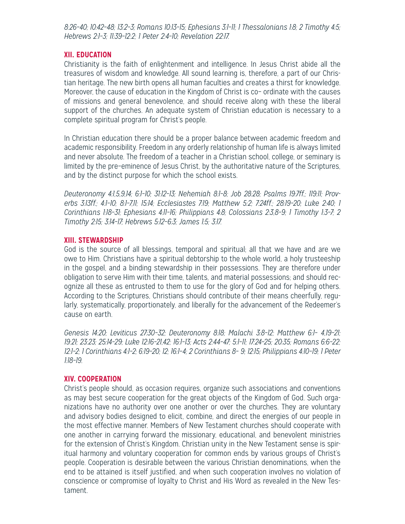*8:26–40; 10:42–48; 13:2–3; Romans 10:13–15; Ephesians 3:1–11; 1 Thessalonians 1:8; 2 Timothy 4:5; Hebrews 2:1–3; 11:39–12:2; 1 Peter 2:4–10; Revelation 22:17.* 

## **XII. EDUCATION**

Christianity is the faith of enlightenment and intelligence. In Jesus Christ abide all the treasures of wisdom and knowledge. All sound learning is, therefore, a part of our Christian heritage. The new birth opens all human faculties and creates a thirst for knowledge. Moreover, the cause of education in the Kingdom of Christ is co– ordinate with the causes of missions and general benevolence, and should receive along with these the liberal support of the churches. An adequate system of Christian education is necessary to a complete spiritual program for Christ's people.

In Christian education there should be a proper balance between academic freedom and academic responsibility. Freedom in any orderly relationship of human life is always limited and never absolute. The freedom of a teacher in a Christian school, college, or seminary is limited by the pre–eminence of Jesus Christ, by the authoritative nature of the Scriptures, and by the distinct purpose for which the school exists.

*Deuteronomy 4:1,5,9,14; 6:1–10; 31:12–13; Nehemiah 8:1–8; Job 28:28; Psalms 19:7ff.; 119:11; Proverbs 3:13ff.; 4:1–10; 8:1–7,11; 15:14; Ecclesiastes 7:19; Matthew 5:2; 7:24ff.; 28:19–20; Luke 2:40; 1 Corinthians 1:18–31; Ephesians 4:11–16; Philippians 4:8; Colossians 2:3,8–9; 1 Timothy 1:3–7; 2 Timothy 2:15; 3:14–17; Hebrews 5:12–6:3; James 1:5; 3:17.* 

## **XIII. STEWARDSHIP**

God is the source of all blessings, temporal and spiritual; all that we have and are we owe to Him. Christians have a spiritual debtorship to the whole world, a holy trusteeship in the gospel, and a binding stewardship in their possessions. They are therefore under obligation to serve Him with their time, talents, and material possessions; and should recognize all these as entrusted to them to use for the glory of God and for helping others. According to the Scriptures, Christians should contribute of their means cheerfully, regularly, systematically, proportionately, and liberally for the advancement of the Redeemer's cause on earth.

*Genesis 14:20; Leviticus 27:30–32; Deuteronomy 8:18; Malachi 3:8–12; Matthew 6:1– 4,19–21; 19:21; 23:23; 25:14–29; Luke 12:16–21,42; 16:1–13; Acts 2:44–47; 5:1–11; 17:24–25; 20:35; Romans 6:6–22; 12:1–2; 1 Corinthians 4:1–2; 6:19–20; 12; 16:1–4; 2 Corinthians 8– 9; 12:15; Philippians 4:10–19; 1 Peter 1:18–19.* 

#### **XIV. COOPERATION**

Christ's people should, as occasion requires, organize such associations and conventions as may best secure cooperation for the great objects of the Kingdom of God. Such organizations have no authority over one another or over the churches. They are voluntary and advisory bodies designed to elicit, combine, and direct the energies of our people in the most effective manner. Members of New Testament churches should cooperate with one another in carrying forward the missionary, educational, and benevolent ministries for the extension of Christ's Kingdom. Christian unity in the New Testament sense is spiritual harmony and voluntary cooperation for common ends by various groups of Christ's people. Cooperation is desirable between the various Christian denominations, when the end to be attained is itself justified, and when such cooperation involves no violation of conscience or compromise of loyalty to Christ and His Word as revealed in the New Testament.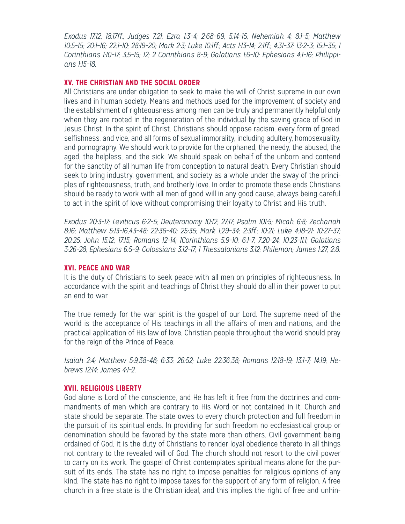*Exodus 17:12; 18:17ff.; Judges 7:21; Ezra 1:3–4; 2:68–69; 5:14–15; Nehemiah 4; 8:1–5; Matthew 10:5–15; 20:1–16; 22:1–10; 28:19–20; Mark 2:3; Luke 10:1ff.; Acts 1:13–14; 2:1ff.; 4:31–37; 13:2–3; 15:1–35; 1 Corinthians 1:10–17; 3:5–15; 12; 2 Corinthians 8–9; Galatians 1:6–10; Ephesians 4:1–16; Philippians 1:15–18.* 

#### **XV. THE CHRISTIAN AND THE SOCIAL ORDER**

All Christians are under obligation to seek to make the will of Christ supreme in our own lives and in human society. Means and methods used for the improvement of society and the establishment of righteousness among men can be truly and permanently helpful only when they are rooted in the regeneration of the individual by the saving grace of God in Jesus Christ. In the spirit of Christ, Christians should oppose racism, every form of greed, selfishness, and vice, and all forms of sexual immorality, including adultery, homosexuality, and pornography. We should work to provide for the orphaned, the needy, the abused, the aged, the helpless, and the sick. We should speak on behalf of the unborn and contend for the sanctity of all human life from conception to natural death. Every Christian should seek to bring industry, government, and society as a whole under the sway of the principles of righteousness, truth, and brotherly love. In order to promote these ends Christians should be ready to work with all men of good will in any good cause, always being careful to act in the spirit of love without compromising their loyalty to Christ and His truth.

*Exodus 20:3–17; Leviticus 6:2–5; Deuteronomy 10:12; 27:17; Psalm 101:5; Micah 6:8; Zechariah 8:16; Matthew 5:13–16,43–48; 22:36–40; 25:35; Mark 1:29–34; 2:3ff.; 10:21; Luke 4:18–21; 10:27–37; 20:25; John 15:12; 17:15; Romans 12–14; 1Corinthians 5:9–10; 6:1–7; 7:20–24; 10:23–11:1; Galatians 3:26–28; Ephesians 6:5–9; Colossians 3:12–17; 1 Thessalonians 3:12; Philemon; James 1:27; 2:8.* 

#### **XVI. PEACE AND WAR**

It is the duty of Christians to seek peace with all men on principles of righteousness. In accordance with the spirit and teachings of Christ they should do all in their power to put an end to war.

The true remedy for the war spirit is the gospel of our Lord. The supreme need of the world is the acceptance of His teachings in all the affairs of men and nations, and the practical application of His law of love. Christian people throughout the world should pray for the reign of the Prince of Peace.

*Isaiah 2:4; Matthew 5:9,38–48; 6:33; 26:52; Luke 22:36,38; Romans 12:18–19; 13:1–7; 14:19; Hebrews 12:14; James 4:1–2.* 

#### **XVII. RELIGIOUS LIBERTY**

God alone is Lord of the conscience, and He has left it free from the doctrines and commandments of men which are contrary to His Word or not contained in it. Church and state should be separate. The state owes to every church protection and full freedom in the pursuit of its spiritual ends. In providing for such freedom no ecclesiastical group or denomination should be favored by the state more than others. Civil government being ordained of God, it is the duty of Christians to render loyal obedience thereto in all things not contrary to the revealed will of God. The church should not resort to the civil power to carry on its work. The gospel of Christ contemplates spiritual means alone for the pursuit of its ends. The state has no right to impose penalties for religious opinions of any kind. The state has no right to impose taxes for the support of any form of religion. A free church in a free state is the Christian ideal, and this implies the right of free and unhin